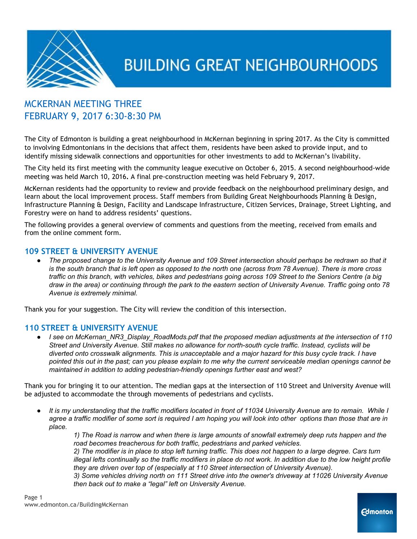

### MCKERNAN MEETING THREE FEBRUARY 9, 2017 6:30-8:30 PM

The City of Edmonton is building a great neighbourhood in McKernan beginning in spring 2017. As the City is committed to involving Edmontonians in the decisions that affect them, residents have been asked to provide input, and to identify missing sidewalk connections and opportunities for other investments to add to McKernan's livability.

The City held its first meeting with the community league executive on October 6, 2015. A second neighbourhood-wide meeting was held March 10, 2016**.** A final pre-construction meeting was held February 9, 2017.

McKernan residents had the opportunity to review and provide feedback on the neighbourhood preliminary design, and learn about the local improvement process. Staff members from Building Great Neighbourhoods Planning & Design, Infrastructure Planning & Design, Facility and Landscape Infrastructure, Citizen Services, Drainage, Street Lighting, and Forestry were on hand to address residents' questions.

The following provides a general overview of comments and questions from the meeting, received from emails and from the online comment form.

#### **109 STREET & UNIVERSITY AVENUE**

The proposed change to the University Avenue and 109 Street intersection should perhaps be redrawn so that it is the south branch that is left open as opposed to the north one (across from 78 Avenue). There is more cross traffic on this branch, with vehicles, bikes and pedestrians going across 109 Street to the Seniors Centre (a big draw in the area) or continuing through the park to the eastern section of University Avenue. Traffic going onto 78 *Avenue is extremely minimal.*

Thank you for your suggestion. The City will review the condition of this intersection.

#### **110 STREET & UNIVERSITY AVENUE**

● *I see on McKernan\_NR3\_Display\_RoadMods.pdf that the proposed median adjustments at the intersection of 110 Street and University Avenue. Still makes no allowance for north-south cycle traffic. Instead, cyclists will be* diverted onto crosswalk alignments. This is unacceptable and a major hazard for this busy cycle track. I have pointed this out in the past; can you please explain to me why the current serviceable median openings cannot be *maintained in addition to adding pedestrian-friendly openings further east and west?*

Thank you for bringing it to our attention. The median gaps at the intersection of 110 Street and University Avenue will be adjusted to accommodate the through movements of pedestrians and cyclists.

It is my understanding that the traffic modifiers located in front of 11034 University Avenue are to remain. While I agree a traffic modifier of some sort is required I am hoping you will look into other options than those that are in *place.*

1) The Road is narrow and when there is large amounts of snowfall extremely deep ruts happen and the *road becomes treacherous for both traffic, pedestrians and parked vehicles.*

2) The modifier is in place to stop left turning traffic. This does not happen to a large degree. Cars turn illegal lefts continually so the traffic modifiers in place do not work. In addition due to the low height profile *they are driven over top of (especially at 110 Street intersection of University Avenue).*

*3) Some vehicles driving north on 111 Street drive into the owner's driveway at 11026 University Avenue then back out to make a "legal" left on University Avenue.*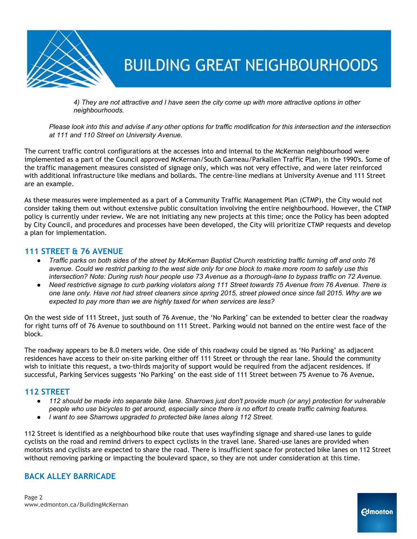

4) They are not attractive and I have seen the city come up with more attractive options in other *neighbourhoods.*

Please look into this and advise if any other options for traffic modification for this intersection and the intersection *at 111 and 110 Street on University Avenue.*

The current traffic control configurations at the accesses into and internal to the McKernan neighbourhood were implemented as a part of the Council approved McKernan/South Garneau/Parkallen Traffic Plan, in the 1990's. Some of the traffic management measures consisted of signage only, which was not very effective, and were later reinforced with additional infrastructure like medians and bollards. The centre-line medians at University Avenue and 111 Street are an example.

As these measures were implemented as a part of a Community Traffic Management Plan (CTMP), the City would not consider taking them out without extensive public consultation involving the entire neighbourhood. However, the CTMP policy is currently under review. We are not initiating any new projects at this time; once the Policy has been adopted by City Council, and procedures and processes have been developed, the City will prioritize CTMP requests and develop a plan for implementation.

#### **111 STREET & 76 AVENUE**

- Traffic parks on both sides of the street by McKernan Baptist Church restricting traffic turning off and onto 76 avenue. Could we restrict parking to the west side only for one block to make more room to safely use this intersection? Note: During rush hour people use 73 Avenue as a thorough-lane to bypass traffic on 72 Avenue.
- Need restrictive signage to curb parking violators along 111 Street towards 75 Avenue from 76 Avenue. There is one lane only. Have not had street cleaners since spring 2015, street plowed once since fall 2015. Why are we *expected to pay more than we are highly taxed for when services are less?*

On the west side of 111 Street, just south of 76 Avenue, the 'No Parking' can be extended to better clear the roadway for right turns off of 76 Avenue to southbound on 111 Street. Parking would not banned on the entire west face of the block.

The roadway appears to be 8.0 meters wide. One side of this roadway could be signed as 'No Parking' as adjacent residences have access to their on-site parking either off 111 Street or through the rear lane. Should the community wish to initiate this request, a two-thirds majority of support would be required from the adjacent residences. If successful, Parking Services suggests 'No Parking' on the east side of 111 Street between 75 Avenue to 76 Avenue**.**

#### **112 STREET**

- 112 should be made into separate bike lane. Sharrows just don't provide much (or any) protection for vulnerable people who use bicycles to get around, especially since there is no effort to create traffic calming features.
- *● I want to see Sharrows upgraded to protected bike lanes along 112 Street.*

112 Street is identified as a neighbourhood bike route that uses wayfinding signage and shared-use lanes to guide cyclists on the road and remind drivers to expect cyclists in the travel lane. Shared-use lanes are provided when motorists and cyclists are expected to share the road. There is insufficient space for protected bike lanes on 112 Street without removing parking or impacting the boulevard space, so they are not under consideration at this time.

#### **BACK ALLEY BARRICADE**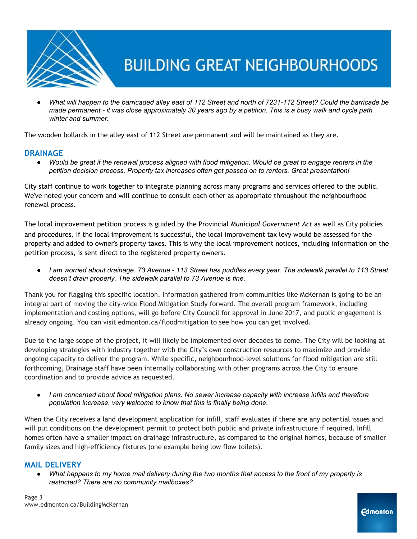

What will happen to the barricaded alley east of 112 Street and north of 7231-112 Street? Could the barricade be made permanent - it was close approximately 30 years ago by a petition. This is a busy walk and cycle path *winter and summer.*

The wooden bollards in the alley east of 112 Street are permanent and will be maintained as they are.

#### **DRAINAGE**

• Would be great if the renewal process aligned with flood mitigation. Would be great to engage renters in the *petition decision process. Property tax increases often get passed on to renters. Great presentation!*

City staff continue to work together to integrate planning across many programs and services offered to the public. We've noted your concern and will continue to consult each other as appropriate throughout the neighbourhood renewal process.

The local improvement petition process is guided by the Provincial *Municipal Government Act* as well as City policies and procedures. If the local improvement is successful, the local improvement tax levy would be assessed for the property and added to owner's property taxes. This is why the local improvement notices, including information on the petition process, is sent direct to the registered property owners.

• I am worried about drainage. 73 Avenue - 113 Street has puddles every year. The sidewalk parallel to 113 Street *doesn't drain properly. The sidewalk parallel to 73 Avenue is fine.*

Thank you for flagging this specific location. Information gathered from communities like McKernan is going to be an integral part of moving the city-wide Flood Mitigation Study forward. The overall program framework, including implementation and costing options, will go before City Council for approval in June 2017, and public engagement is already ongoing. You can visit edmonton.ca/floodmitigation to see how you can get involved.

Due to the large scope of the project, it will likely be implemented over decades to come. The City will be looking at developing strategies with industry together with the City's own construction resources to maximize and provide ongoing capacity to deliver the program. While specific, neighbourhood-level solutions for flood mitigation are still forthcoming, Drainage staff have been internally collaborating with other programs across the City to ensure coordination and to provide advice as requested.

I am concerned about flood mitigation plans. No sewer increase capacity with increase infills and therefore *population increase. very welcome to know that this is finally being done.*

When the City receives a land development application for infill, staff evaluates if there are any potential issues and will put conditions on the development permit to protect both public and private infrastructure if required. Infill homes often have a smaller impact on drainage infrastructure, as compared to the original homes, because of smaller family sizes and high-efficiency fixtures (one example being low flow toilets).

#### **MAIL DELIVERY**

What happens to my home mail delivery during the two months that access to the front of my property is *restricted? There are no community mailboxes?*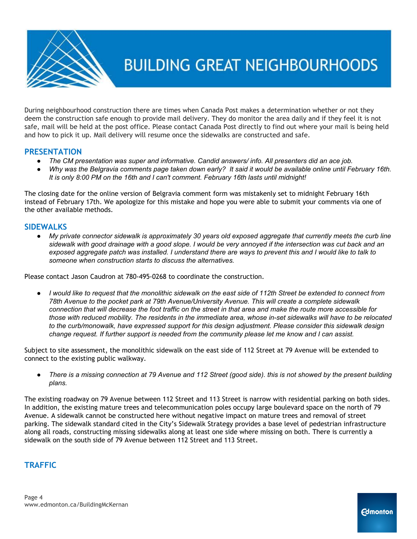

During neighbourhood construction there are times when Canada Post makes a determination whether or not they deem the construction safe enough to provide mail delivery. They do monitor the area daily and if they feel it is not safe, mail will be held at the post office. Please contact Canada Post directly to find out where your mail is being held and how to pick it up. Mail delivery will resume once the sidewalks are constructed and safe.

#### **PRESENTATION**

- *● The CM presentation was super and informative. Candid answers/ info. All presenters did an ace job.*
- Why was the Belgravia comments page taken down early? It said it would be available online until February 16th. *It is only 8:00 PM on the 16th and I can't comment. February 16th lasts until midnight!*

The closing date for the online version of Belgravia comment form was mistakenly set to midnight February 16th instead of February 17th. We apologize for this mistake and hope you were able to submit your comments via one of the other available methods.

#### **SIDEWALKS**

My private connector sidewalk is approximately 30 years old exposed aggregate that currently meets the curb line sidewalk with good drainage with a good slope. I would be very annoyed if the intersection was cut back and an exposed aggregate patch was installed. I understand there are ways to prevent this and I would like to talk to *someone when construction starts to discuss the alternatives.*

Please contact Jason Caudron at 780-495-0268 to coordinate the construction.

I would like to request that the monolithic sidewalk on the east side of 112th Street be extended to connect from *78th Avenue to the pocket park at 79th Avenue/University Avenue. This will create a complete sidewalk* connection that will decrease the foot traffic on the street in that area and make the route more accessible for those with reduced mobility. The residents in the immediate area, whose in-set sidewalks will have to be relocated *to the curb/monowalk, have expressed support for this design adjustment. Please consider this sidewalk design* change request. If further support is needed from the community please let me know and I can assist.

Subject to site assessment, the monolithic sidewalk on the east side of 112 Street at 79 Avenue will be extended to connect to the existing public walkway.

There is a missing connection at 79 Avenue and 112 Street (good side). this is not showed by the present building *plans.*

The existing roadway on 79 Avenue between 112 Street and 113 Street is narrow with residential parking on both sides. In addition, the existing mature trees and telecommunication poles occupy large boulevard space on the north of 79 Avenue. A sidewalk cannot be constructed here without negative impact on mature trees and removal of street parking. The sidewalk standard cited in the City's Sidewalk Strategy provides a base level of pedestrian infrastructure along all roads, constructing missing sidewalks along at least one side where missing on both. There is currently a sidewalk on the south side of 79 Avenue between 112 Street and 113 Street.

### **TRAFFIC**